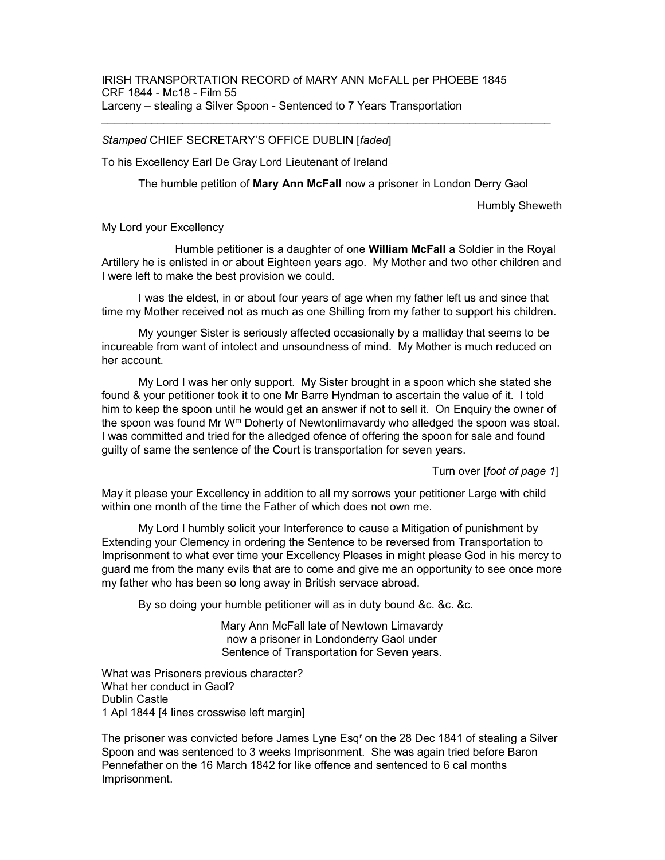## Stamped CHIEF SECRETARY'S OFFICE DUBLIN [faded]

To his Excellency Earl De Gray Lord Lieutenant of Ireland

The humble petition of Mary Ann McFall now a prisoner in London Derry Gaol

Humbly Sheweth

My Lord your Excellency

Humble petitioner is a daughter of one **William McFall** a Soldier in the Royal Artillery he is enlisted in or about Eighteen years ago. My Mother and two other children and I were left to make the best provision we could.

 I was the eldest, in or about four years of age when my father left us and since that time my Mother received not as much as one Shilling from my father to support his children.

 My younger Sister is seriously affected occasionally by a malliday that seems to be incureable from want of intolect and unsoundness of mind. My Mother is much reduced on her account.

 My Lord I was her only support. My Sister brought in a spoon which she stated she found & your petitioner took it to one Mr Barre Hyndman to ascertain the value of it. I told him to keep the spoon until he would get an answer if not to sell it. On Enquiry the owner of the spoon was found Mr W<sup>m</sup> Doherty of Newtonlimavardy who alledged the spoon was stoal. I was committed and tried for the alledged ofence of offering the spoon for sale and found guilty of same the sentence of the Court is transportation for seven years.

Turn over [foot of page 1]

May it please your Excellency in addition to all my sorrows your petitioner Large with child within one month of the time the Father of which does not own me.

 My Lord I humbly solicit your Interference to cause a Mitigation of punishment by Extending your Clemency in ordering the Sentence to be reversed from Transportation to Imprisonment to what ever time your Excellency Pleases in might please God in his mercy to guard me from the many evils that are to come and give me an opportunity to see once more my father who has been so long away in British servace abroad.

By so doing your humble petitioner will as in duty bound &c. &c. &c.

Mary Ann McFall late of Newtown Limavardy now a prisoner in Londonderry Gaol under Sentence of Transportation for Seven years.

What was Prisoners previous character? What her conduct in Gaol? Dublin Castle 1 Apl 1844 [4 lines crosswise left margin]

The prisoner was convicted before James Lyne Esq<sup>r</sup> on the 28 Dec 1841 of stealing a Silver Spoon and was sentenced to 3 weeks Imprisonment. She was again tried before Baron Pennefather on the 16 March 1842 for like offence and sentenced to 6 cal months Imprisonment.